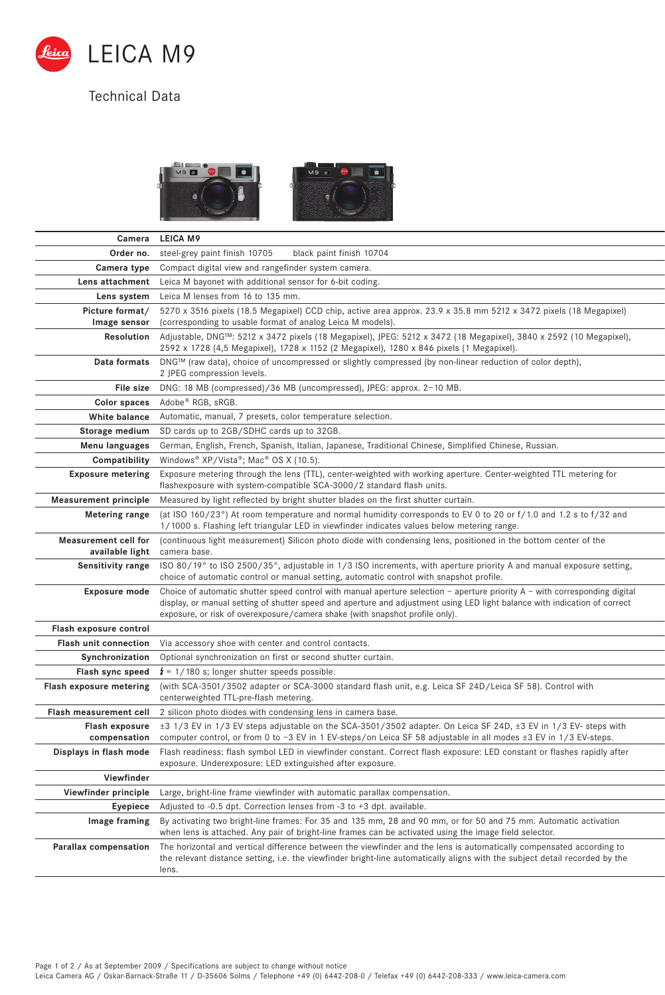

## Technical Data



| Camera                                  | <b>LEICA M9</b>                                                                                                                                                                                                                                                                                                                             |
|-----------------------------------------|---------------------------------------------------------------------------------------------------------------------------------------------------------------------------------------------------------------------------------------------------------------------------------------------------------------------------------------------|
| Order no.                               | steel-grey paint finish 10705<br>black paint finish 10704                                                                                                                                                                                                                                                                                   |
| Camera type                             | Compact digital view and rangefinder system camera.                                                                                                                                                                                                                                                                                         |
| Lens attachment                         | Leica M bayonet with additional sensor for 6-bit coding.                                                                                                                                                                                                                                                                                    |
| Lens system                             | Leica M lenses from 16 to 135 mm.                                                                                                                                                                                                                                                                                                           |
| Picture format/<br>Image sensor         | 5270 x 3516 pixels (18.5 Megapixel) CCD chip, active area approx. 23.9 x 35.8 mm 5212 x 3472 pixels (18 Megapixel)<br>(corresponding to usable format of analog Leica M models).                                                                                                                                                            |
| Resolution                              | Adjustable, DNG™: 5212 x 3472 pixels (18 Megapixel), JPEG: 5212 x 3472 (18 Megapixel), 3840 x 2592 (10 Megapixel),<br>2592 x 1728 (4,5 Megapixel), 1728 x 1152 (2 Megapixel), 1280 x 846 pixels (1 Megapixel).                                                                                                                              |
| Data formats                            | DNG™ (raw data), choice of uncompressed or slightly compressed (by non-linear reduction of color depth),<br>2 JPEG compression levels.                                                                                                                                                                                                      |
| File size                               | DNG: 18 MB (compressed)/36 MB (uncompressed), JPEG: approx. 2-10 MB.                                                                                                                                                                                                                                                                        |
| Color spaces                            | Adobe® RGB, sRGB.                                                                                                                                                                                                                                                                                                                           |
| White balance                           | Automatic, manual, 7 presets, color temperature selection.                                                                                                                                                                                                                                                                                  |
| Storage medium                          | SD cards up to 2GB/SDHC cards up to 32GB.                                                                                                                                                                                                                                                                                                   |
| Menu languages                          | German, English, French, Spanish, Italian, Japanese, Traditional Chinese, Simplified Chinese, Russian.                                                                                                                                                                                                                                      |
| Compatibility                           | Windows® XP/Vista®; Mac® OS X (10.5).                                                                                                                                                                                                                                                                                                       |
| <b>Exposure metering</b>                | Exposure metering through the lens (TTL), center-weighted with working aperture. Center-weighted TTL metering for<br>flashexposure with system-compatible SCA-3000/2 standard flash units.                                                                                                                                                  |
| <b>Measurement principle</b>            | Measured by light reflected by bright shutter blades on the first shutter curtain.                                                                                                                                                                                                                                                          |
| Metering range                          | (at ISO 160/23°) At room temperature and normal humidity corresponds to EV 0 to 20 or f/1.0 and 1.2 s to f/32 and<br>1/1000 s. Flashing left triangular LED in viewfinder indicates values below metering range.                                                                                                                            |
| Measurement cell for<br>available light | (continuous light measurement) Silicon photo diode with condensing lens, positioned in the bottom center of the<br>camera base.                                                                                                                                                                                                             |
| Sensitivity range                       | ISO 80/19° to ISO 2500/35°, adjustable in 1/3 ISO increments, with aperture priority A and manual exposure setting,<br>choice of automatic control or manual setting, automatic control with snapshot profile.                                                                                                                              |
| <b>Exposure mode</b>                    | Choice of automatic shutter speed control with manual aperture selection - aperture priority $A -$ with corresponding digital<br>display, or manual setting of shutter speed and aperture and adjustment using LED light balance with indication of correct<br>exposure, or risk of overexposure/camera shake (with snapshot profile only). |
| Flash exposure control                  |                                                                                                                                                                                                                                                                                                                                             |
| <b>Flash unit connection</b>            | Via accessory shoe with center and control contacts.                                                                                                                                                                                                                                                                                        |
| Synchronization                         | Optional synchronization on first or second shutter curtain.                                                                                                                                                                                                                                                                                |
| Flash sync speed                        | $t = 1/180$ s; longer shutter speeds possible.                                                                                                                                                                                                                                                                                              |
| Flash exposure metering                 | (with SCA-3501/3502 adapter or SCA-3000 standard flash unit, e.g. Leica SF 24D/Leica SF 58). Control with<br>centerweighted TTL-pre-flash metering.                                                                                                                                                                                         |
| Flash measurement cell                  | 2 silicon photo diodes with condensing lens in camera base.                                                                                                                                                                                                                                                                                 |
| Flash exposure<br>compensation          | ±3 1/3 EV in 1/3 EV steps adjustable on the SCA-3501/3502 adapter. On Leica SF 24D, ±3 EV in 1/3 EV- steps with<br>computer control, or from 0 to $-3$ EV in 1 EV-steps/on Leica SF 58 adjustable in all modes $\pm 3$ EV in 1/3 EV-steps.                                                                                                  |
| Displays in flash mode                  | Flash readiness: flash symbol LED in viewfinder constant. Correct flash exposure: LED constant or flashes rapidly after<br>exposure. Underexposure: LED extinguished after exposure.                                                                                                                                                        |
| Viewfinder                              |                                                                                                                                                                                                                                                                                                                                             |
| Viewfinder principle                    | Large, bright-line frame viewfinder with automatic parallax compensation.                                                                                                                                                                                                                                                                   |
| Eyepiece                                | Adjusted to $-0.5$ dpt. Correction lenses from $-3$ to $+3$ dpt. available.                                                                                                                                                                                                                                                                 |
| Image framing                           | By activating two bright-line frames: For 35 and 135 mm, 28 and 90 mm, or for 50 and 75 mm. Automatic activation<br>when lens is attached. Any pair of bright-line frames can be activated using the image field selector.                                                                                                                  |
| Parallax compensation                   | The horizontal and vertical difference between the viewfinder and the lens is automatically compensated according to<br>the relevant distance setting, i.e. the viewfinder bright-line automatically aligns with the subject detail recorded by the<br>lens.                                                                                |